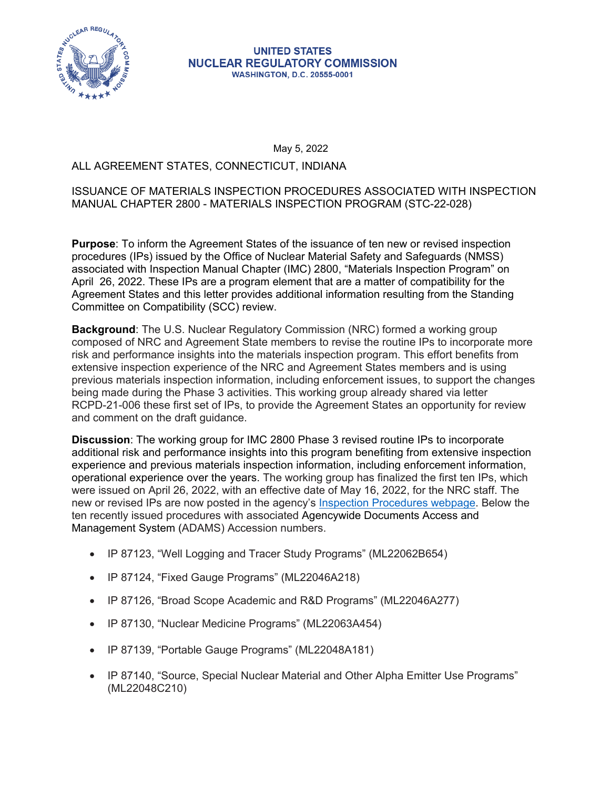

#### **UNITED STATES NUCLEAR REGULATORY COMMISSION WASHINGTON, D.C. 20555-0001**

May 5, 2022

## ALL AGREEMENT STATES, CONNECTICUT, INDIANA

### ISSUANCE OF MATERIALS INSPECTION PROCEDURES ASSOCIATED WITH INSPECTION MANUAL CHAPTER 2800 - MATERIALS INSPECTION PROGRAM (STC-22-028)

**Purpose**: To inform the Agreement States of the issuance of ten new or revised inspection procedures (IPs) issued by the Office of Nuclear Material Safety and Safeguards (NMSS) associated with Inspection Manual Chapter (IMC) 2800, "Materials Inspection Program" on April 26, 2022. These IPs are a program element that are a matter of compatibility for the Agreement States and this letter provides additional information resulting from the Standing Committee on Compatibility (SCC) review.

**Background**: The U.S. Nuclear Regulatory Commission (NRC) formed a working group composed of NRC and Agreement State members to revise the routine IPs to incorporate more risk and performance insights into the materials inspection program. This effort benefits from extensive inspection experience of the NRC and Agreement States members and is using previous materials inspection information, including enforcement issues, to support the changes being made during the Phase 3 activities. This working group already shared via letter RCPD-21-006 these first set of IPs, to provide the Agreement States an opportunity for review and comment on the draft guidance.

were issued on April 26, 2022, with an effective date of May 16, 2022, for the NRC staff. The **Discussion**: The working group for IMC 2800 Phase 3 revised routine IPs to incorporate additional risk and performance insights into this program benefiting from extensive inspection experience and previous materials inspection information, including enforcement information, operational experience over the years. The working group has finalized the first ten IPs, which new or revised IPs are now posted in the agency's [Inspection Procedures webpage](https://www.nrc.gov/reading-rm/doc-collections/insp-manual/inspection-procedure/index.html). Below the ten recently issued procedures with associated Agencywide Documents Access and Management System (ADAMS) Accession numbers.

- IP 87123, "Well Logging and Tracer Study Programs" (ML22062B654)
- IP 87124, "Fixed Gauge Programs" (ML22046A218)
- IP 87126, "Broad Scope Academic and R&D Programs" (ML22046A277)
- IP 87130, "Nuclear Medicine Programs" (ML22063A454)
- IP 87139, "Portable Gauge Programs" (ML22048A181)
- IP 87140, "Source, Special Nuclear Material and Other Alpha Emitter Use Programs" (ML22048C210)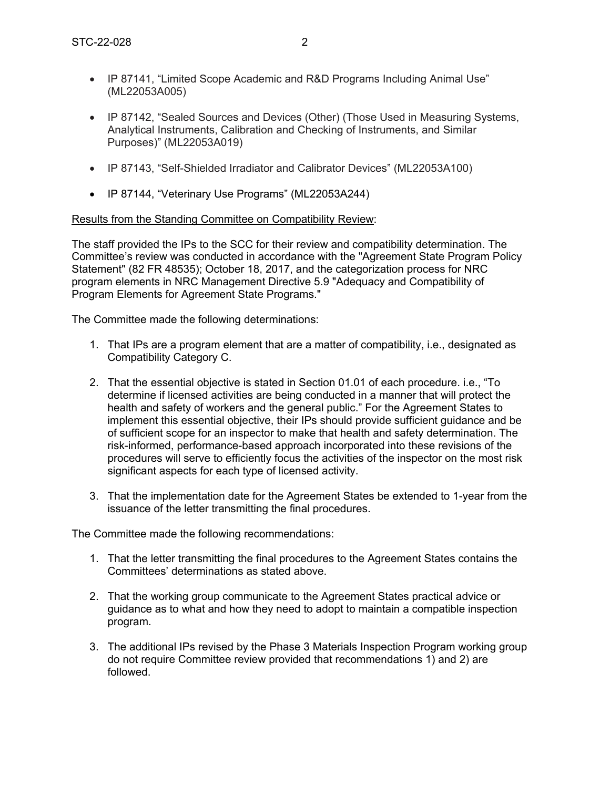- IP 87141, "Limited Scope Academic and R&D Programs Including Animal Use" (ML22053A005)
- IP 87142, "Sealed Sources and Devices (Other) (Those Used in Measuring Systems, Analytical Instruments, Calibration and Checking of Instruments, and Similar Purposes)" (ML22053A019)
- IP 87143, "Self-Shielded Irradiator and Calibrator Devices" (ML22053A100)
- IP 87144, "Veterinary Use Programs" (ML22053A244)

#### Results from the Standing Committee on Compatibility Review:

The staff provided the IPs to the SCC for their review and compatibility determination. The Committee's review was conducted in accordance with the "Agreement State Program Policy Statement" (82 FR 48535); October 18, 2017, and the categorization process for NRC program elements in NRC Management Directive 5.9 "Adequacy and Compatibility of Program Elements for Agreement State Programs."

The Committee made the following determinations:

- 1. That IPs are a program element that are a matter of compatibility, i.e., designated as Compatibility Category C.
- 2. That the essential objective is stated in Section 01.01 of each procedure. i.e., "To determine if licensed activities are being conducted in a manner that will protect the health and safety of workers and the general public." For the Agreement States to implement this essential objective, their IPs should provide sufficient guidance and be of sufficient scope for an inspector to make that health and safety determination. The risk-informed, performance-based approach incorporated into these revisions of the procedures will serve to efficiently focus the activities of the inspector on the most risk significant aspects for each type of licensed activity.
- 3. That the implementation date for the Agreement States be extended to 1-year from the issuance of the letter transmitting the final procedures.

The Committee made the following recommendations:

- 1. That the letter transmitting the final procedures to the Agreement States contains the Committees' determinations as stated above.
- 2. That the working group communicate to the Agreement States practical advice or guidance as to what and how they need to adopt to maintain a compatible inspection program.
- 3. The additional IPs revised by the Phase 3 Materials Inspection Program working group do not require Committee review provided that recommendations 1) and 2) are followed.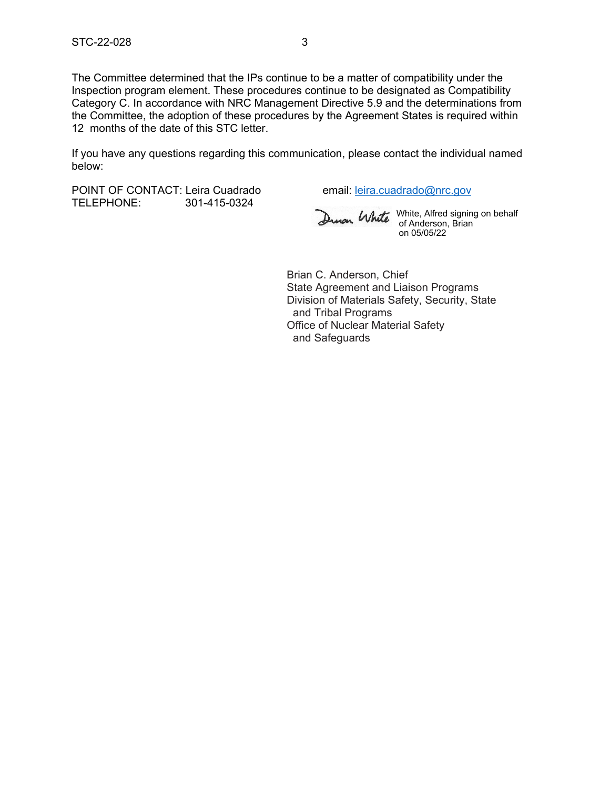The Committee determined that the IPs continue to be a matter of compatibility under the Inspection program element. These procedures continue to be designated as Compatibility Category C. In accordance with NRC Management Directive 5.9 and the determinations from the Committee, the adoption of these procedures by the Agreement States is required within 12 months of the date of this STC letter.

If you have any questions regarding this communication, please contact the individual named below:

POINT OF CONTACT: Leira Cuadrado email: [leira.cuadrado@nrc.gov](mailto:leira.cuadrado@nrc.gov) TELEPHONE: 301-415-0324

White, Alfred signing on behalf of Anderson, Brian on 05/05/22

Brian C. Anderson, Chief State Agreement and Liaison Programs Division of Materials Safety, Security, State and Tribal Programs Office of Nuclear Material Safety and Safeguards